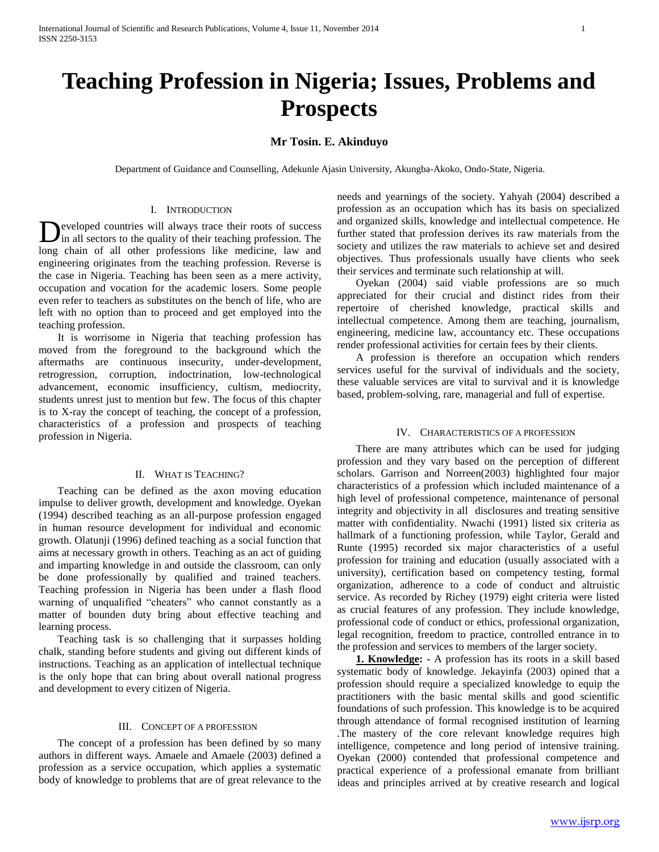# **Teaching Profession in Nigeria; Issues, Problems and Prospects**

# **Mr Tosin. E. Akinduyo**

Department of Guidance and Counselling, Adekunle Ajasin University, Akungba-Akoko, Ondo-State, Nigeria.

### I. INTRODUCTION

eveloped countries will always trace their roots of success in all sectors to the quality of their teaching profession. The Developed countries will always trace their roots of success in all sectors to the quality of their teaching profession. The long chain of all other professions like medicine, law and engineering originates from the teaching profession. Reverse is the case in Nigeria. Teaching has been seen as a mere activity, occupation and vocation for the academic losers. Some people even refer to teachers as substitutes on the bench of life, who are left with no option than to proceed and get employed into the teaching profession.

 It is worrisome in Nigeria that teaching profession has moved from the foreground to the background which the aftermaths are continuous insecurity, under-development, retrogression, corruption, indoctrination, low-technological advancement, economic insufficiency, cultism, mediocrity, students unrest just to mention but few. The focus of this chapter is to X-ray the concept of teaching, the concept of a profession, characteristics of a profession and prospects of teaching profession in Nigeria.

# II. WHAT IS TEACHING?

 Teaching can be defined as the axon moving education impulse to deliver growth, development and knowledge. Oyekan (1994) described teaching as an all-purpose profession engaged in human resource development for individual and economic growth. Olatunji (1996) defined teaching as a social function that aims at necessary growth in others. Teaching as an act of guiding and imparting knowledge in and outside the classroom, can only be done professionally by qualified and trained teachers. Teaching profession in Nigeria has been under a flash flood warning of unqualified "cheaters" who cannot constantly as a matter of bounden duty bring about effective teaching and learning process.

 Teaching task is so challenging that it surpasses holding chalk, standing before students and giving out different kinds of instructions. Teaching as an application of intellectual technique is the only hope that can bring about overall national progress and development to every citizen of Nigeria.

# III. CONCEPT OF A PROFESSION

 The concept of a profession has been defined by so many authors in different ways. Amaele and Amaele (2003) defined a profession as a service occupation, which applies a systematic body of knowledge to problems that are of great relevance to the needs and yearnings of the society. Yahyah (2004) described a profession as an occupation which has its basis on specialized and organized skills, knowledge and intellectual competence. He further stated that profession derives its raw materials from the society and utilizes the raw materials to achieve set and desired objectives. Thus professionals usually have clients who seek their services and terminate such relationship at will.

 Oyekan (2004) said viable professions are so much appreciated for their crucial and distinct rides from their repertoire of cherished knowledge, practical skills and intellectual competence. Among them are teaching, journalism, engineering, medicine law, accountancy etc. These occupations render professional activities for certain fees by their clients.

 A profession is therefore an occupation which renders services useful for the survival of individuals and the society, these valuable services are vital to survival and it is knowledge based, problem-solving, rare, managerial and full of expertise.

# IV. CHARACTERISTICS OF A PROFESSION

 There are many attributes which can be used for judging profession and they vary based on the perception of different scholars. Garrison and Norreen(2003) highlighted four major characteristics of a profession which included maintenance of a high level of professional competence, maintenance of personal integrity and objectivity in all disclosures and treating sensitive matter with confidentiality. Nwachi (1991) listed six criteria as hallmark of a functioning profession, while Taylor, Gerald and Runte (1995) recorded six major characteristics of a useful profession for training and education (usually associated with a university), certification based on competency testing, formal organization, adherence to a code of conduct and altruistic service. As recorded by Richey (1979) eight criteria were listed as crucial features of any profession. They include knowledge, professional code of conduct or ethics, professional organization, legal recognition, freedom to practice, controlled entrance in to the profession and services to members of the larger society.

 **1. Knowledge: -** A profession has its roots in a skill based systematic body of knowledge. Jekayinfa (2003) opined that a profession should require a specialized knowledge to equip the practitioners with the basic mental skills and good scientific foundations of such profession. This knowledge is to be acquired through attendance of formal recognised institution of learning .The mastery of the core relevant knowledge requires high intelligence, competence and long period of intensive training. Oyekan (2000) contended that professional competence and practical experience of a professional emanate from brilliant ideas and principles arrived at by creative research and logical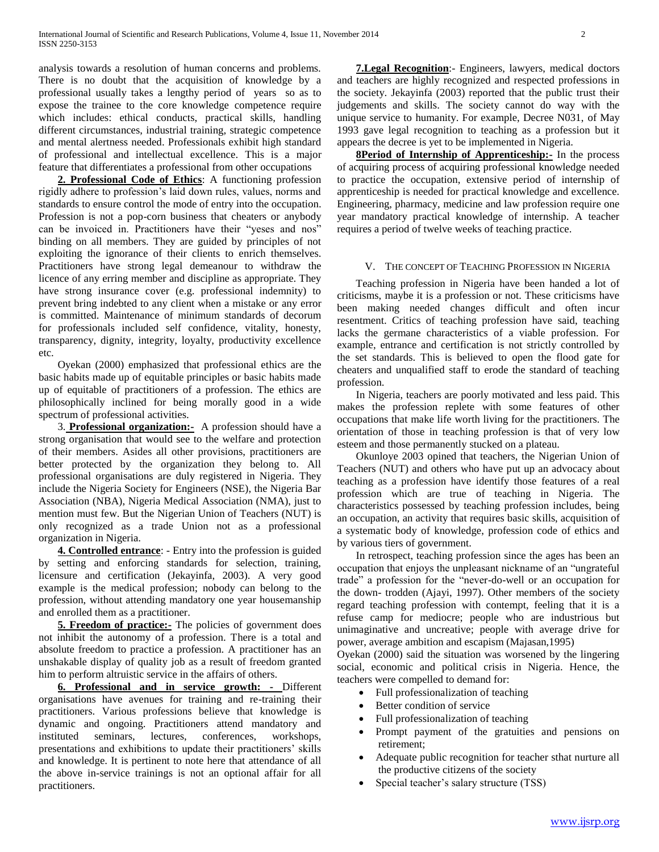analysis towards a resolution of human concerns and problems. There is no doubt that the acquisition of knowledge by a professional usually takes a lengthy period of years so as to expose the trainee to the core knowledge competence require which includes: ethical conducts, practical skills, handling different circumstances, industrial training, strategic competence and mental alertness needed. Professionals exhibit high standard of professional and intellectual excellence. This is a major feature that differentiates a professional from other occupations

 **2. Professional Code of Ethics**: A functioning profession rigidly adhere to profession's laid down rules, values, norms and standards to ensure control the mode of entry into the occupation. Profession is not a pop-corn business that cheaters or anybody can be invoiced in. Practitioners have their "yeses and nos" binding on all members. They are guided by principles of not exploiting the ignorance of their clients to enrich themselves. Practitioners have strong legal demeanour to withdraw the licence of any erring member and discipline as appropriate. They have strong insurance cover (e.g. professional indemnity) to prevent bring indebted to any client when a mistake or any error is committed. Maintenance of minimum standards of decorum for professionals included self confidence, vitality, honesty, transparency, dignity, integrity, loyalty, productivity excellence etc.

 Oyekan (2000) emphasized that professional ethics are the basic habits made up of equitable principles or basic habits made up of equitable of practitioners of a profession. The ethics are philosophically inclined for being morally good in a wide spectrum of professional activities.

 3. **Professional organization:-** A profession should have a strong organisation that would see to the welfare and protection of their members. Asides all other provisions, practitioners are better protected by the organization they belong to. All professional organisations are duly registered in Nigeria. They include the Nigeria Society for Engineers (NSE), the Nigeria Bar Association (NBA), Nigeria Medical Association (NMA), just to mention must few. But the Nigerian Union of Teachers (NUT) is only recognized as a trade Union not as a professional organization in Nigeria.

 **4. Controlled entrance**: - Entry into the profession is guided by setting and enforcing standards for selection, training, licensure and certification (Jekayinfa, 2003). A very good example is the medical profession; nobody can belong to the profession, without attending mandatory one year housemanship and enrolled them as a practitioner.

**5. Freedom of practice:** The policies of government does not inhibit the autonomy of a profession. There is a total and absolute freedom to practice a profession. A practitioner has an unshakable display of quality job as a result of freedom granted him to perform altruistic service in the affairs of others.

 **6. Professional and in service growth: -** Different organisations have avenues for training and re-training their practitioners. Various professions believe that knowledge is dynamic and ongoing. Practitioners attend mandatory and instituted seminars, lectures, conferences, workshops, presentations and exhibitions to update their practitioners' skills and knowledge. It is pertinent to note here that attendance of all the above in-service trainings is not an optional affair for all practitioners.

 **7.Legal Recognition**:- Engineers, lawyers, medical doctors and teachers are highly recognized and respected professions in the society. Jekayinfa (2003) reported that the public trust their judgements and skills. The society cannot do way with the unique service to humanity. For example, Decree N031, of May 1993 gave legal recognition to teaching as a profession but it appears the decree is yet to be implemented in Nigeria.

**8Period of Internship of Apprenticeship:** In the process of acquiring process of acquiring professional knowledge needed to practice the occupation, extensive period of internship of apprenticeship is needed for practical knowledge and excellence. Engineering, pharmacy, medicine and law profession require one year mandatory practical knowledge of internship. A teacher requires a period of twelve weeks of teaching practice.

# V. THE CONCEPT OF TEACHING PROFESSION IN NIGERIA

 Teaching profession in Nigeria have been handed a lot of criticisms, maybe it is a profession or not. These criticisms have been making needed changes difficult and often incur resentment. Critics of teaching profession have said, teaching lacks the germane characteristics of a viable profession. For example, entrance and certification is not strictly controlled by the set standards. This is believed to open the flood gate for cheaters and unqualified staff to erode the standard of teaching profession.

 In Nigeria, teachers are poorly motivated and less paid. This makes the profession replete with some features of other occupations that make life worth living for the practitioners. The orientation of those in teaching profession is that of very low esteem and those permanently stucked on a plateau.

 Okunloye 2003 opined that teachers, the Nigerian Union of Teachers (NUT) and others who have put up an advocacy about teaching as a profession have identify those features of a real profession which are true of teaching in Nigeria. The characteristics possessed by teaching profession includes, being an occupation, an activity that requires basic skills, acquisition of a systematic body of knowledge, profession code of ethics and by various tiers of government.

 In retrospect, teaching profession since the ages has been an occupation that enjoys the unpleasant nickname of an "ungrateful trade" a profession for the "never-do-well or an occupation for the down- trodden (Ajayi, 1997). Other members of the society regard teaching profession with contempt, feeling that it is a refuse camp for mediocre; people who are industrious but unimaginative and uncreative; people with average drive for power, average ambition and escapism (Majasan,1995)

Oyekan (2000) said the situation was worsened by the lingering social, economic and political crisis in Nigeria. Hence, the teachers were compelled to demand for:

- Full professionalization of teaching
- Better condition of service
- Full professionalization of teaching
- Prompt payment of the gratuities and pensions on retirement;
- Adequate public recognition for teacher sthat nurture all the productive citizens of the society
- Special teacher's salary structure (TSS)